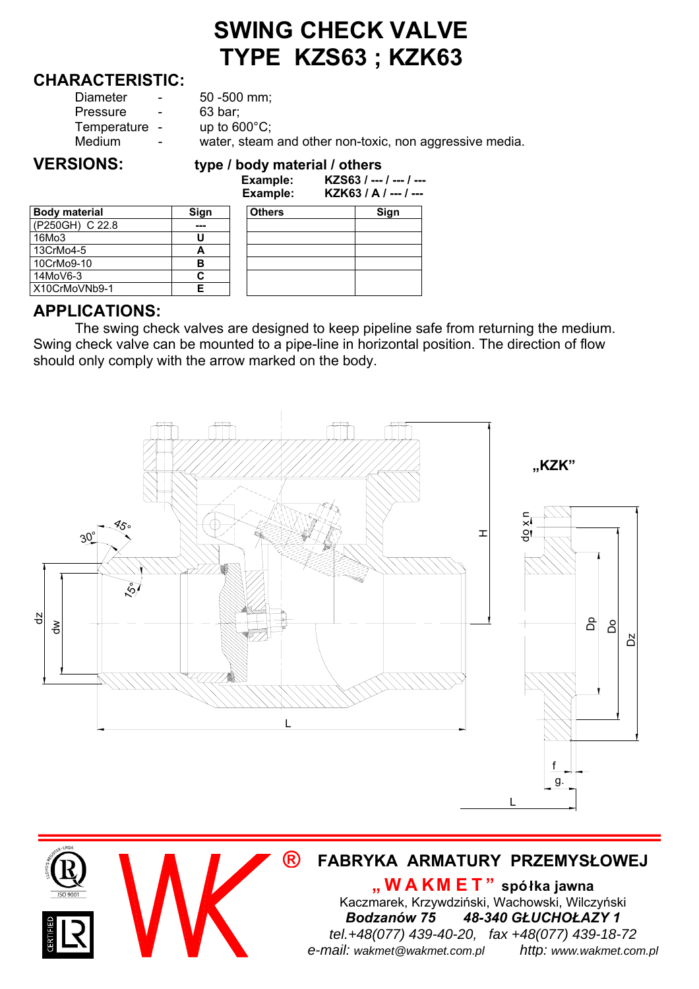# **SWING CHECK VALVE TYPE KZS63 ; KZK63**

#### **CHARACTERISTIC:**

| Diameter      | $\sim$                   | $50 - 500$ mm;                                          |
|---------------|--------------------------|---------------------------------------------------------|
| Pressure      | $\overline{\phantom{a}}$ | 63 bar:                                                 |
| Temperature - |                          | up to $600^{\circ}$ C;                                  |
| Medium        | $\sim$                   | water, steam and other non-toxic, non aggressive media. |
|               |                          |                                                         |

#### **VERSIONS: type / body material / others Example: KZS63 / --- / --- / ---**

|                      |      | Example:      | KZK63 / A / -- |  |  |
|----------------------|------|---------------|----------------|--|--|
| <b>Body material</b> | Sign | <b>Others</b> | Sign           |  |  |
| (P250GH) C 22.8      |      |               |                |  |  |
| 16Mo3                |      |               |                |  |  |
| 13CrMo4-5            | А    |               |                |  |  |
| 10CrMo9-10           | в    |               |                |  |  |
| 14MoV6-3             |      |               |                |  |  |
| X10CrMoVNb9-1        |      |               |                |  |  |

|                 |      | ----------<br>Example: | KZK63 / A / --- / --- |
|-----------------|------|------------------------|-----------------------|
| Body material   | Sign | <b>Others</b>          | Sign                  |
| (P250GH) C 22.8 | ---  |                        |                       |
| 16Mo3           |      |                        |                       |
| 13CrMo4-5       | А    |                        |                       |
| 10CrMo9-10      | в    |                        |                       |
| 14MoV6-3        | С    |                        |                       |
| X10CrMoVNb9-1   | Е    |                        |                       |

# **APPLICATIONS:**

The swing check valves are designed to keep pipeline safe from returning the medium. Swing check valve can be mounted to a pipe-line in horizontal position. The direction of flow should only comply with the arrow marked on the body.



### **® FABRYKA ARMATURY PRZEMYSŁOWEJ**

**"WAKM ET" spółka jawna** Kaczmarek, Krzywdziński, Wachowski, Wilczyński *Bodzanów 75 48-340 GŁUCHOŁAZY 1 tel.+48(077) 439-40-20, fax +48(077) 439-18-72 e-mail: wakmet@wakmet.com.pl http: www.wakmet.com.pl*